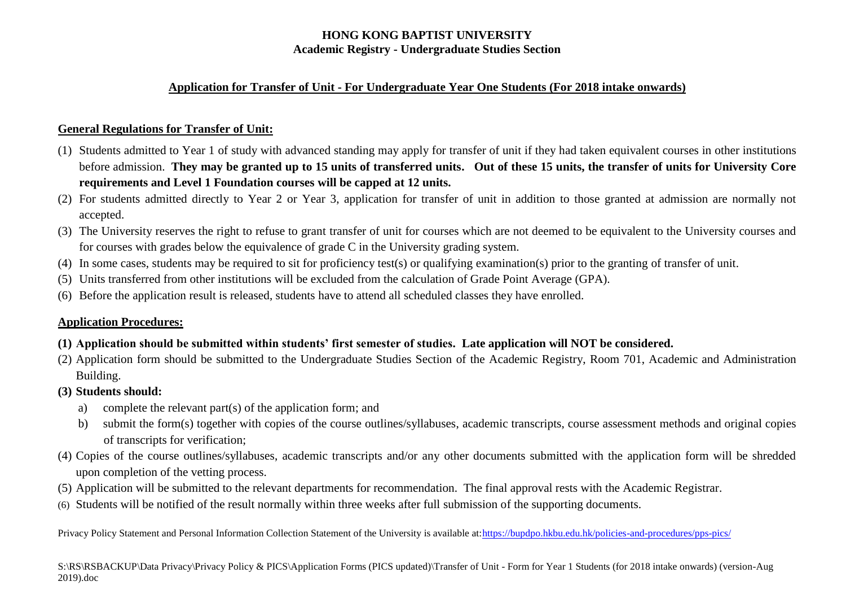### **Application for Transfer of Unit - For Undergraduate Year One Students (For 2018 intake onwards)**

## **General Regulations for Transfer of Unit:**

- (1) Students admitted to Year 1 of study with advanced standing may apply for transfer of unit if they had taken equivalent courses in other institutions before admission. **They may be granted up to 15 units of transferred units. Out of these 15 units, the transfer of units for University Core requirements and Level 1 Foundation courses will be capped at 12 units.**
- (2) For students admitted directly to Year 2 or Year 3, application for transfer of unit in addition to those granted at admission are normally not accepted.
- (3) The University reserves the right to refuse to grant transfer of unit for courses which are not deemed to be equivalent to the University courses and for courses with grades below the equivalence of grade C in the University grading system.
- (4) In some cases, students may be required to sit for proficiency test(s) or qualifying examination(s) prior to the granting of transfer of unit.
- (5) Units transferred from other institutions will be excluded from the calculation of Grade Point Average (GPA).
- (6) Before the application result is released, students have to attend all scheduled classes they have enrolled.

## **Application Procedures:**

- **(1) Application should be submitted within students' first semester of studies. Late application will NOT be considered.**
- (2) Application form should be submitted to the Undergraduate Studies Section of the Academic Registry, Room 701, Academic and Administration Building.
- **(3) Students should:**
	- a) complete the relevant part(s) of the application form; and
	- b) submit the form(s) together with copies of the course outlines/syllabuses, academic transcripts, course assessment methods and original copies of transcripts for verification;
- (4) Copies of the course outlines/syllabuses, academic transcripts and/or any other documents submitted with the application form will be shredded upon completion of the vetting process.
- (5) Application will be submitted to the relevant departments for recommendation. The final approval rests with the Academic Registrar.
- (6) Students will be notified of the result normally within three weeks after full submission of the supporting documents.

Privacy Policy Statement and Personal Information Collection Statement of the University is available at[:https://bupdpo.hkbu.edu.hk/policies-and-procedures/pps-pics/](https://bupdpo.hkbu.edu.hk/policies-and-procedures/pps-pics/)

S:\RS\RSBACKUP\Data Privacy\Privacy Policy & PICS\Application Forms (PICS updated)\Transfer of Unit - Form for Year 1 Students (for 2018 intake onwards) (version-Aug 2019).doc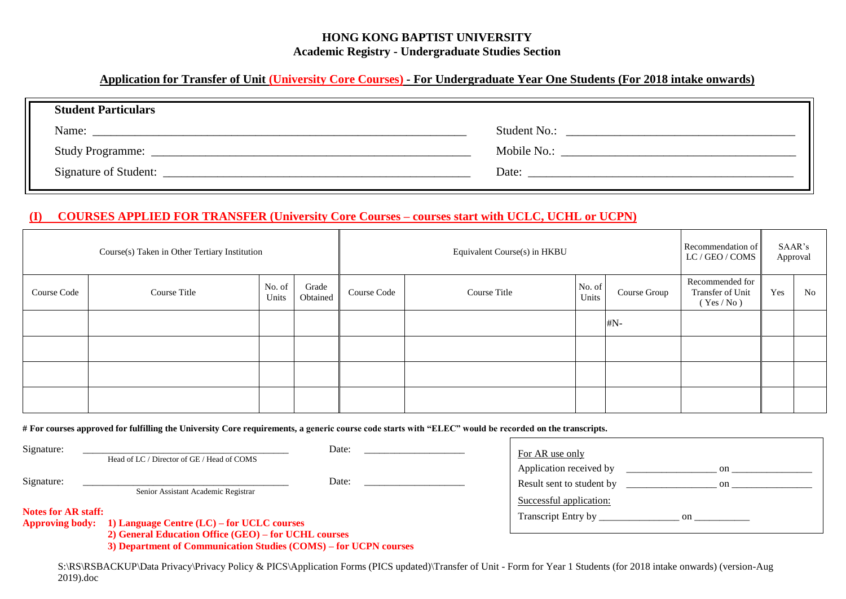### **Application for Transfer of Unit (University Core Courses) - For Undergraduate Year One Students (For 2018 intake onwards)**

| <b>Student Particulars</b> |              |
|----------------------------|--------------|
| Name:                      | Student No.: |
| <b>Study Programme:</b>    | Mobile No.:  |
| Signature of Student:      | Date:        |

#### **(I) COURSES APPLIED FOR TRANSFER (University Core Courses – courses start with UCLC, UCHL or UCPN)**

|             | Course(s) Taken in Other Tertiary Institution |                 |                   |             | Equivalent Course(s) in HKBU |                 |              | Recommendation of<br>LC / GEO / COMS            |     | SAAR's<br>Approval |
|-------------|-----------------------------------------------|-----------------|-------------------|-------------|------------------------------|-----------------|--------------|-------------------------------------------------|-----|--------------------|
| Course Code | Course Title                                  | No. of<br>Units | Grade<br>Obtained | Course Code | Course Title                 | No. of<br>Units | Course Group | Recommended for<br>Transfer of Unit<br>(Yes/No) | Yes | No                 |
|             |                                               |                 |                   |             |                              |                 | #N-          |                                                 |     |                    |
|             |                                               |                 |                   |             |                              |                 |              |                                                 |     |                    |
|             |                                               |                 |                   |             |                              |                 |              |                                                 |     |                    |
|             |                                               |                 |                   |             |                              |                 |              |                                                 |     |                    |

**# For courses approved for fulfilling the University Core requirements, a generic course code starts with "ELEC" would be recorded on the transcripts.** 

| Signature:                 | Head of LC / Director of GE / Head of COMS                                                                         | Date: | For AR use only                                      |            |
|----------------------------|--------------------------------------------------------------------------------------------------------------------|-------|------------------------------------------------------|------------|
| Signature:                 | Senior Assistant Academic Registrar                                                                                | Date: | Application received by<br>Result sent to student by | on.<br>on. |
| <b>Notes for AR staff:</b> | Approving body: 1) Language Centre (LC) – for UCLC courses<br>2) General Education Office (GEO) – for UCHL courses |       | Successful application:<br>Transcript Entry by<br>on |            |
|                            | 3) Department of Communication Studies (COMS) – for UCPN courses                                                   |       |                                                      |            |

S:\RS\RSBACKUP\Data Privacy\Privacy Policy & PICS\Application Forms (PICS updated)\Transfer of Unit - Form for Year 1 Students (for 2018 intake onwards) (version-Aug 2019).doc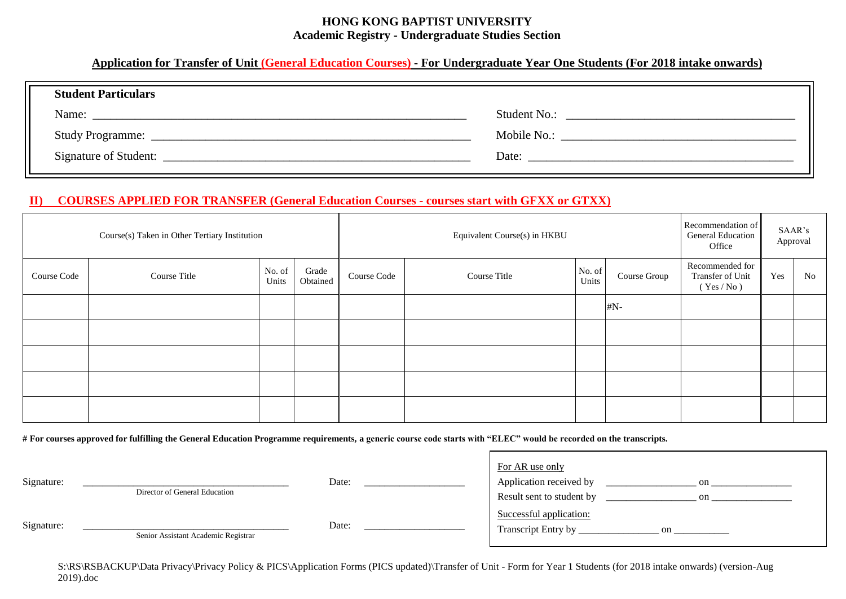#### **Application for Transfer of Unit (General Education Courses) - For Undergraduate Year One Students (For 2018 intake onwards)**

| <b>Student Particulars</b> |              |
|----------------------------|--------------|
| Name:                      | Student No.: |
|                            |              |
|                            | Mobile No.:  |
| Signature of Student:      | Date:        |
|                            |              |

### **II) COURSES APPLIED FOR TRANSFER (General Education Courses - courses start with GFXX or GTXX)**

|             | Course(s) Taken in Other Tertiary Institution |                 |                   |             | Equivalent Course(s) in HKBU |                 |              | Recommendation of<br><b>General Education</b><br>Office |     | SAAR's<br>Approval |
|-------------|-----------------------------------------------|-----------------|-------------------|-------------|------------------------------|-----------------|--------------|---------------------------------------------------------|-----|--------------------|
| Course Code | Course Title                                  | No. of<br>Units | Grade<br>Obtained | Course Code | Course Title                 | No. of<br>Units | Course Group | Recommended for<br>Transfer of Unit<br>(Yes / No)       | Yes | N <sub>0</sub>     |
|             |                                               |                 |                   |             |                              |                 | $\#N-$       |                                                         |     |                    |
|             |                                               |                 |                   |             |                              |                 |              |                                                         |     |                    |
|             |                                               |                 |                   |             |                              |                 |              |                                                         |     |                    |
|             |                                               |                 |                   |             |                              |                 |              |                                                         |     |                    |
|             |                                               |                 |                   |             |                              |                 |              |                                                         |     |                    |

**# For courses approved for fulfilling the General Education Programme requirements, a generic course code starts with "ELEC" would be recorded on the transcripts.** 

| Signature: | Director of General Education       | Date: | For AR use only<br>Application received by<br>on<br>Result sent to student by<br>on |
|------------|-------------------------------------|-------|-------------------------------------------------------------------------------------|
| Signature: | Senior Assistant Academic Registrar | Date: | Successful application:<br>Transcript Entry by<br>on                                |

S:\RS\RSBACKUP\Data Privacy\Privacy Policy & PICS\Application Forms (PICS updated)\Transfer of Unit - Form for Year 1 Students (for 2018 intake onwards) (version-Aug 2019).doc